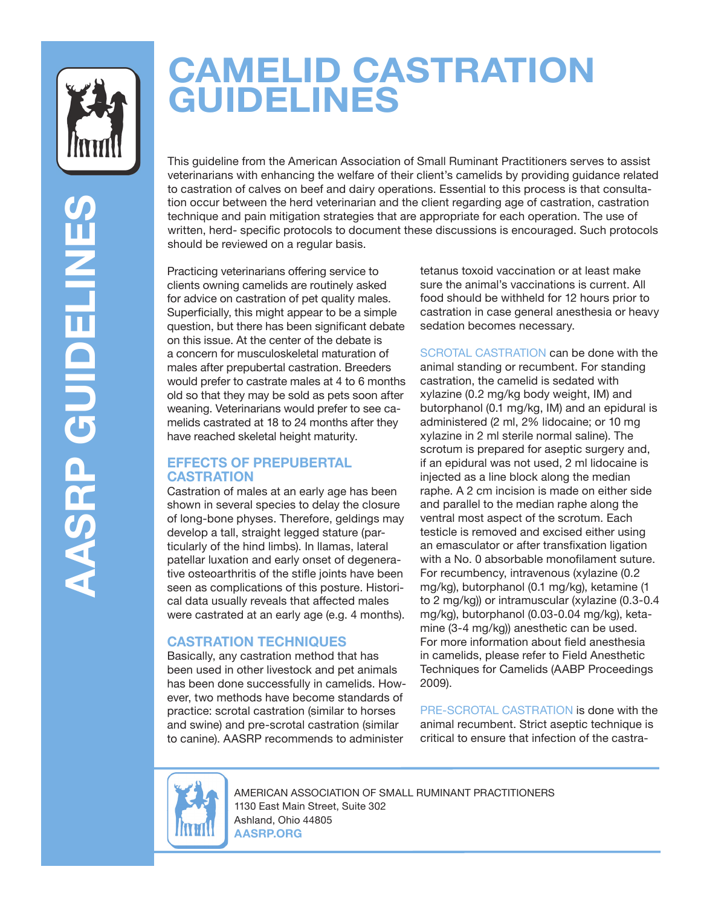

**AASRP GUIDELINES** 

**AASRP GUIDELINE** 

# **CAMELID CASTRATION GUIDELINES**

This guideline from the American Association of Small Ruminant Practitioners serves to assist veterinarians with enhancing the welfare of their client's camelids by providing guidance related to castration of calves on beef and dairy operations. Essential to this process is that consultation occur between the herd veterinarian and the client regarding age of castration, castration technique and pain mitigation strategies that are appropriate for each operation. The use of written, herd- specific protocols to document these discussions is encouraged. Such protocols should be reviewed on a regular basis.

Practicing veterinarians offering service to clients owning camelids are routinely asked for advice on castration of pet quality males. Superficially, this might appear to be a simple question, but there has been significant debate on this issue. At the center of the debate is a concern for musculoskeletal maturation of males after prepubertal castration. Breeders would prefer to castrate males at 4 to 6 months old so that they may be sold as pets soon after weaning. Veterinarians would prefer to see camelids castrated at 18 to 24 months after they have reached skeletal height maturity.

### **EFFECTS OF PREPUBERTAL CASTRATION**

Castration of males at an early age has been shown in several species to delay the closure of long-bone physes. Therefore, geldings may develop a tall, straight legged stature (particularly of the hind limbs). In llamas, lateral patellar luxation and early onset of degenerative osteoarthritis of the stifle joints have been seen as complications of this posture. Historical data usually reveals that affected males were castrated at an early age (e.g. 4 months).

## **CASTRATION TECHNIQUES**

Basically, any castration method that has been used in other livestock and pet animals has been done successfully in camelids. However, two methods have become standards of practice: scrotal castration (similar to horses and swine) and pre-scrotal castration (similar to canine). AASRP recommends to administer

tetanus toxoid vaccination or at least make sure the animal's vaccinations is current. All food should be withheld for 12 hours prior to castration in case general anesthesia or heavy sedation becomes necessary.

SCROTAL CASTRATION can be done with the animal standing or recumbent. For standing castration, the camelid is sedated with xylazine (0.2 mg/kg body weight, IM) and butorphanol (0.1 mg/kg, IM) and an epidural is administered (2 ml, 2% lidocaine; or 10 mg xylazine in 2 ml sterile normal saline). The scrotum is prepared for aseptic surgery and, if an epidural was not used, 2 ml lidocaine is injected as a line block along the median raphe. A 2 cm incision is made on either side and parallel to the median raphe along the ventral most aspect of the scrotum. Each testicle is removed and excised either using an emasculator or after transfixation ligation with a No. 0 absorbable monofilament suture. For recumbency, intravenous (xylazine (0.2 mg/kg), butorphanol (0.1 mg/kg), ketamine (1 to 2 mg/kg)) or intramuscular (xylazine (0.3-0.4 mg/kg), butorphanol (0.03-0.04 mg/kg), ketamine (3-4 mg/kg)) anesthetic can be used. For more information about field anesthesia in camelids, please refer to Field Anesthetic Techniques for Camelids (AABP Proceedings 2009).

PRE-SCROTAL CASTRATION is done with the animal recumbent. Strict aseptic technique is critical to ensure that infection of the castra-



AMERICAN ASSOCIATION OF SMALL RUMINANT PRACTITIONERS 1130 East Main Street, Suite 302 Ashland, Ohio 44805 **AASRP.ORG**